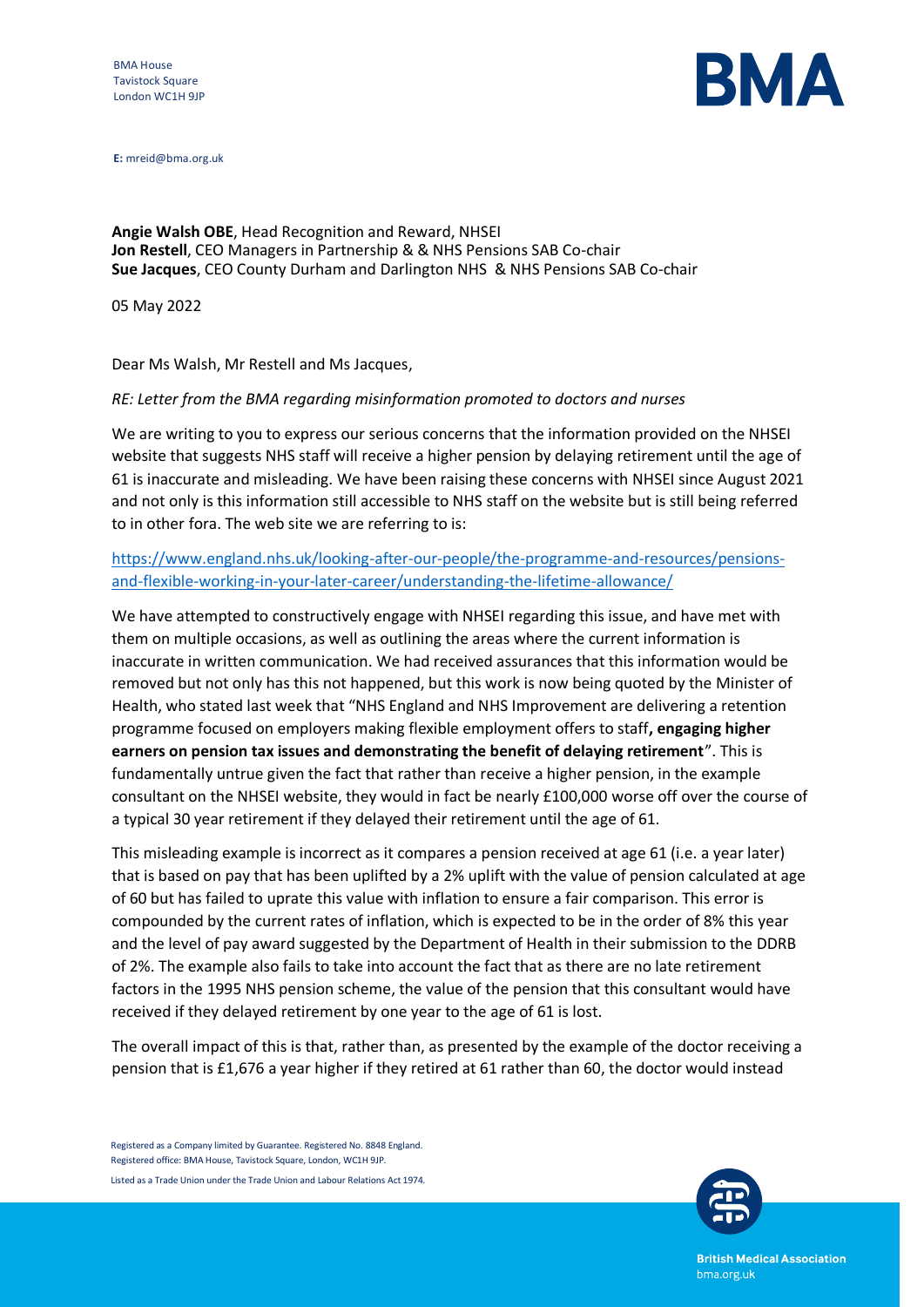

**E:** mreid@bma.org.uk

**Angie Walsh OBE**, Head Recognition and Reward, NHSEI **Jon Restell**, CEO Managers in Partnership & & NHS Pensions SAB Co-chair **Sue Jacques**, CEO County Durham and Darlington NHS & NHS Pensions SAB Co-chair

05 May 2022

Dear Ms Walsh, Mr Restell and Ms Jacques,

## *RE: Letter from the BMA regarding misinformation promoted to doctors and nurses*

We are writing to you to express our serious concerns that the information provided on the NHSEI website that suggests NHS staff will receive a higher pension by delaying retirement until the age of 61 is inaccurate and misleading. We have been raising these concerns with NHSEI since August 2021 and not only is this information still accessible to NHS staff on the website but is still being referred to in other fora. The web site we are referring to is:

[https://www.england.nhs.uk/looking-after-our-people/the-programme-and-resources/pensions](https://www.england.nhs.uk/looking-after-our-people/the-programme-and-resources/pensions-and-flexible-working-in-your-later-career/understanding-the-lifetime-allowance/)[and-flexible-working-in-your-later-career/understanding-the-lifetime-allowance/](https://www.england.nhs.uk/looking-after-our-people/the-programme-and-resources/pensions-and-flexible-working-in-your-later-career/understanding-the-lifetime-allowance/)

We have attempted to constructively engage with NHSEI regarding this issue, and have met with them on multiple occasions, as well as outlining the areas where the current information is inaccurate in written communication. We had received assurances that this information would be removed but not only has this not happened, but this work is now being quoted by the Minister of Health, who stated last week that "NHS England and NHS Improvement are delivering a retention programme focused on employers making flexible employment offers to staff**, engaging higher earners on pension tax issues and demonstrating the benefit of delaying retirement**". This is fundamentally untrue given the fact that rather than receive a higher pension, in the example consultant on the NHSEI website, they would in fact be nearly £100,000 worse off over the course of a typical 30 year retirement if they delayed their retirement until the age of 61.

This misleading example is incorrect as it compares a pension received at age 61 (i.e. a year later) that is based on pay that has been uplifted by a 2% uplift with the value of pension calculated at age of 60 but has failed to uprate this value with inflation to ensure a fair comparison. This error is compounded by the current rates of inflation, which is expected to be in the order of 8% this year and the level of pay award suggested by the Department of Health in their submission to the DDRB of 2%. The example also fails to take into account the fact that as there are no late retirement factors in the 1995 NHS pension scheme, the value of the pension that this consultant would have received if they delayed retirement by one year to the age of 61 is lost.

The overall impact of this is that, rather than, as presented by the example of the doctor receiving a pension that is £1,676 a year higher if they retired at 61 rather than 60, the doctor would instead

Registered as a Company limited by Guarantee. Registered No. 8848 England. Registered office: BMA House, Tavistock Square, London, WC1H 9JP. Listed as a Trade Union under the Trade Union and Labour Relations Act 1974.



**British Medical Association** bma.org.uk